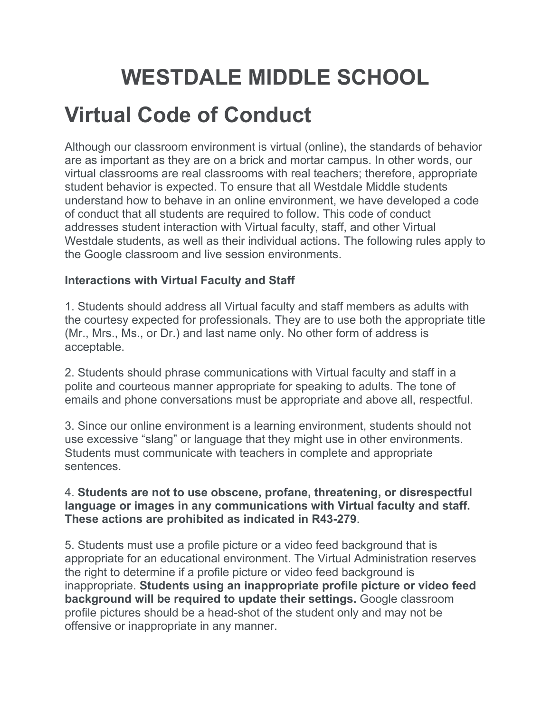# **WESTDALE MIDDLE SCHOOL**

## **Virtual Code of Conduct**

Although our classroom environment is virtual (online), the standards of behavior are as important as they are on a brick and mortar campus. In other words, our virtual classrooms are real classrooms with real teachers; therefore, appropriate student behavior is expected. To ensure that all Westdale Middle students understand how to behave in an online environment, we have developed a code of conduct that all students are required to follow. This code of conduct addresses student interaction with Virtual faculty, staff, and other Virtual Westdale students, as well as their individual actions. The following rules apply to the Google classroom and live session environments.

#### **Interactions with Virtual Faculty and Staff**

1. Students should address all Virtual faculty and staff members as adults with the courtesy expected for professionals. They are to use both the appropriate title (Mr., Mrs., Ms., or Dr.) and last name only. No other form of address is acceptable.

2. Students should phrase communications with Virtual faculty and staff in a polite and courteous manner appropriate for speaking to adults. The tone of emails and phone conversations must be appropriate and above all, respectful.

3. Since our online environment is a learning environment, students should not use excessive "slang" or language that they might use in other environments. Students must communicate with teachers in complete and appropriate sentences.

#### 4. **Students are not to use obscene, profane, threatening, or disrespectful language or images in any communications with Virtual faculty and staff. These actions are prohibited as indicated in R43-279**.

5. Students must use a profile picture or a video feed background that is appropriate for an educational environment. The Virtual Administration reserves the right to determine if a profile picture or video feed background is inappropriate. **Students using an inappropriate profile picture or video feed background will be required to update their settings.** Google classroom profile pictures should be a head-shot of the student only and may not be offensive or inappropriate in any manner.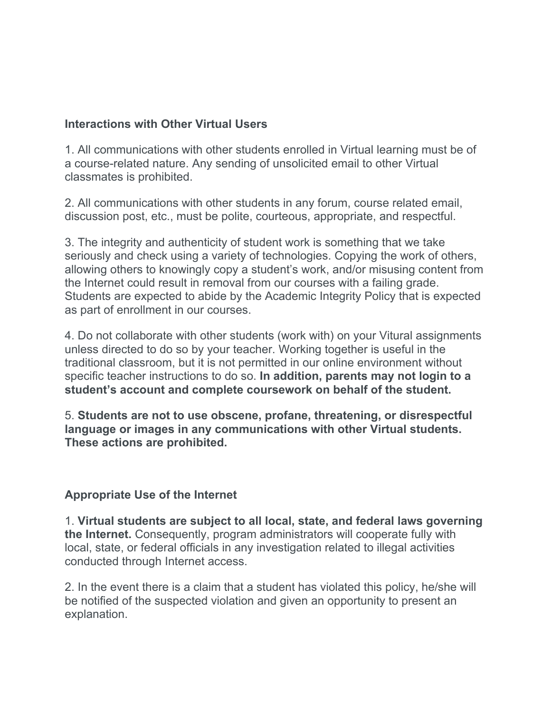#### **Interactions with Other Virtual Users**

1. All communications with other students enrolled in Virtual learning must be of a course-related nature. Any sending of unsolicited email to other Virtual classmates is prohibited.

2. All communications with other students in any forum, course related email, discussion post, etc., must be polite, courteous, appropriate, and respectful.

3. The integrity and authenticity of student work is something that we take seriously and check using a variety of technologies. Copying the work of others, allowing others to knowingly copy a student's work, and/or misusing content from the Internet could result in removal from our courses with a failing grade. Students are expected to abide by the Academic Integrity Policy that is expected as part of enrollment in our courses.

4. Do not collaborate with other students (work with) on your Vitural assignments unless directed to do so by your teacher. Working together is useful in the traditional classroom, but it is not permitted in our online environment without specific teacher instructions to do so. **In addition, parents may not login to a student's account and complete coursework on behalf of the student.**

5. **Students are not to use obscene, profane, threatening, or disrespectful language or images in any communications with other Virtual students. These actions are prohibited.**

#### **Appropriate Use of the Internet**

1. **Virtual students are subject to all local, state, and federal laws governing the Internet.** Consequently, program administrators will cooperate fully with local, state, or federal officials in any investigation related to illegal activities conducted through Internet access.

2. In the event there is a claim that a student has violated this policy, he/she will be notified of the suspected violation and given an opportunity to present an explanation.